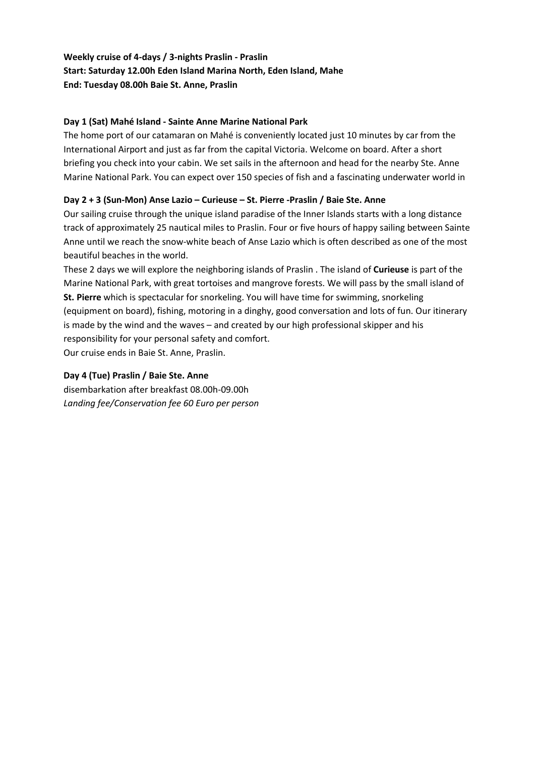# Weekly cruise of 4-days / 3-nights Praslin - Praslin Start: Saturday 12.00h Eden Island Marina North, Eden Island, Mahe End: Tuesday 08.00h Baie St. Anne, Praslin

### Day 1 (Sat) Mahé Island - Sainte Anne Marine National Park

The home port of our catamaran on Mahé is conveniently located just 10 minutes by car from the International Airport and just as far from the capital Victoria. Welcome on board. After a short briefing you check into your cabin. We set sails in the afternoon and head for the nearby Ste. Anne Marine National Park. You can expect over 150 species of fish and a fascinating underwater world in

## Day 2 + 3 (Sun-Mon) Anse Lazio – Curieuse – St. Pierre -Praslin / Baie Ste. Anne

Our sailing cruise through the unique island paradise of the Inner Islands starts with a long distance track of approximately 25 nautical miles to Praslin. Four or five hours of happy sailing between Sainte Anne until we reach the snow-white beach of Anse Lazio which is often described as one of the most beautiful beaches in the world.

These 2 days we will explore the neighboring islands of Praslin . The island of Curieuse is part of the Marine National Park, with great tortoises and mangrove forests. We will pass by the small island of St. Pierre which is spectacular for snorkeling. You will have time for swimming, snorkeling (equipment on board), fishing, motoring in a dinghy, good conversation and lots of fun. Our itinerary is made by the wind and the waves – and created by our high professional skipper and his responsibility for your personal safety and comfort. Our cruise ends in Baie St. Anne, Praslin.

### Day 4 (Tue) Praslin / Baie Ste. Anne

disembarkation after breakfast 08.00h-09.00h Landing fee/Conservation fee 60 Euro per person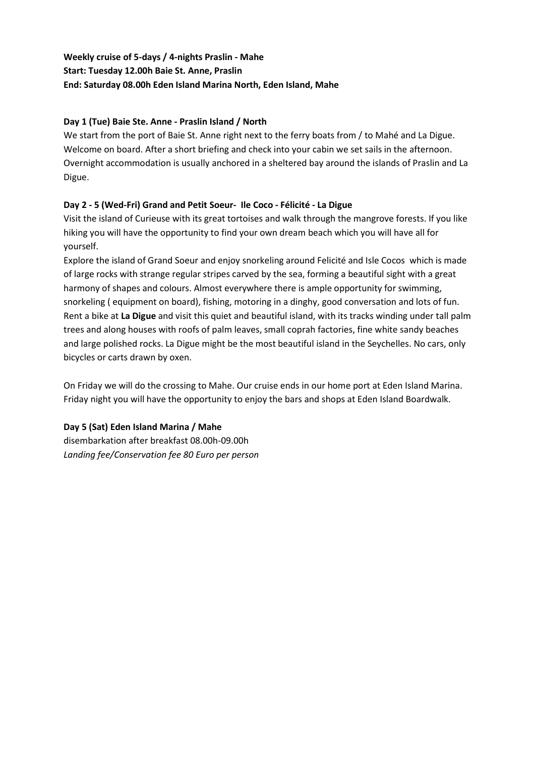# Weekly cruise of 5-days / 4-nights Praslin - Mahe Start: Tuesday 12.00h Baie St. Anne, Praslin End: Saturday 08.00h Eden Island Marina North, Eden Island, Mahe

## Day 1 (Tue) Baie Ste. Anne - Praslin Island / North

We start from the port of Baie St. Anne right next to the ferry boats from / to Mahé and La Digue. Welcome on board. After a short briefing and check into your cabin we set sails in the afternoon. Overnight accommodation is usually anchored in a sheltered bay around the islands of Praslin and La Digue.

## Day 2 - 5 (Wed-Fri) Grand and Petit Soeur- Ile Coco - Félicité - La Digue

Visit the island of Curieuse with its great tortoises and walk through the mangrove forests. If you like hiking you will have the opportunity to find your own dream beach which you will have all for yourself.

Explore the island of Grand Soeur and enjoy snorkeling around Felicité and Isle Cocos which is made of large rocks with strange regular stripes carved by the sea, forming a beautiful sight with a great harmony of shapes and colours. Almost everywhere there is ample opportunity for swimming, snorkeling ( equipment on board), fishing, motoring in a dinghy, good conversation and lots of fun. Rent a bike at La Digue and visit this quiet and beautiful island, with its tracks winding under tall palm trees and along houses with roofs of palm leaves, small coprah factories, fine white sandy beaches and large polished rocks. La Digue might be the most beautiful island in the Seychelles. No cars, only bicycles or carts drawn by oxen.

On Friday we will do the crossing to Mahe. Our cruise ends in our home port at Eden Island Marina. Friday night you will have the opportunity to enjoy the bars and shops at Eden Island Boardwalk.

### Day 5 (Sat) Eden Island Marina / Mahe

disembarkation after breakfast 08.00h-09.00h Landing fee/Conservation fee 80 Euro per person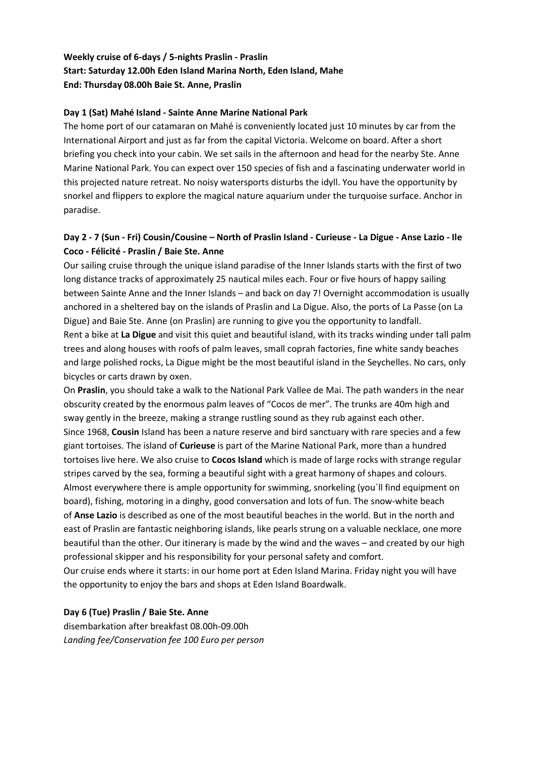# Weekly cruise of 6-days / 5-nights Praslin - Praslin Start: Saturday 12.00h Eden Island Marina North, Eden Island, Mahe End: Thursday 08.00h Baie St. Anne, Praslin

### Day 1 (Sat) Mahé Island - Sainte Anne Marine National Park

The home port of our catamaran on Mahé is conveniently located just 10 minutes by car from the International Airport and just as far from the capital Victoria. Welcome on board. After a short briefing you check into your cabin. We set sails in the afternoon and head for the nearby Ste. Anne Marine National Park. You can expect over 150 species of fish and a fascinating underwater world in this projected nature retreat. No noisy watersports disturbs the idyll. You have the opportunity by snorkel and flippers to explore the magical nature aquarium under the turquoise surface. Anchor in paradise.

## Day 2 - 7 (Sun - Fri) Cousin/Cousine – North of Praslin Island - Curieuse - La Digue - Anse Lazio - Ile Coco - Félicité - Praslin / Baie Ste. Anne

Our sailing cruise through the unique island paradise of the Inner Islands starts with the first of two long distance tracks of approximately 25 nautical miles each. Four or five hours of happy sailing between Sainte Anne and the Inner Islands – and back on day 7! Overnight accommodation is usually anchored in a sheltered bay on the islands of Praslin and La Digue. Also, the ports of La Passe (on La Digue) and Baie Ste. Anne (on Praslin) are running to give you the opportunity to landfall. Rent a bike at La Digue and visit this quiet and beautiful island, with its tracks winding under tall palm trees and along houses with roofs of palm leaves, small coprah factories, fine white sandy beaches and large polished rocks, La Digue might be the most beautiful island in the Seychelles. No cars, only bicycles or carts drawn by oxen.

On Praslin, you should take a walk to the National Park Vallee de Mai. The path wanders in the near obscurity created by the enormous palm leaves of "Cocos de mer". The trunks are 40m high and sway gently in the breeze, making a strange rustling sound as they rub against each other. Since 1968, Cousin Island has been a nature reserve and bird sanctuary with rare species and a few giant tortoises. The island of Curieuse is part of the Marine National Park, more than a hundred tortoises live here. We also cruise to Cocos Island which is made of large rocks with strange regular stripes carved by the sea, forming a beautiful sight with a great harmony of shapes and colours. Almost everywhere there is ample opportunity for swimming, snorkeling (you´ll find equipment on board), fishing, motoring in a dinghy, good conversation and lots of fun. The snow-white beach of Anse Lazio is described as one of the most beautiful beaches in the world. But in the north and east of Praslin are fantastic neighboring islands, like pearls strung on a valuable necklace, one more beautiful than the other. Our itinerary is made by the wind and the waves – and created by our high professional skipper and his responsibility for your personal safety and comfort.

Our cruise ends where it starts: in our home port at Eden Island Marina. Friday night you will have the opportunity to enjoy the bars and shops at Eden Island Boardwalk.

#### Day 6 (Tue) Praslin / Baie Ste. Anne

disembarkation after breakfast 08.00h-09.00h Landing fee/Conservation fee 100 Euro per person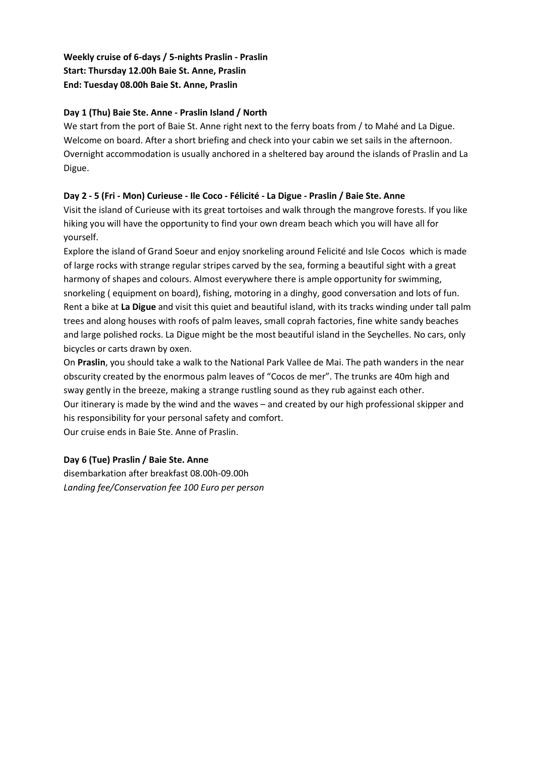Weekly cruise of 6-days / 5-nights Praslin - Praslin Start: Thursday 12.00h Baie St. Anne, Praslin End: Tuesday 08.00h Baie St. Anne, Praslin

## Day 1 (Thu) Baie Ste. Anne - Praslin Island / North

We start from the port of Baie St. Anne right next to the ferry boats from / to Mahé and La Digue. Welcome on board. After a short briefing and check into your cabin we set sails in the afternoon. Overnight accommodation is usually anchored in a sheltered bay around the islands of Praslin and La Digue.

## Day 2 - 5 (Fri - Mon) Curieuse - Ile Coco - Félicité - La Digue - Praslin / Baie Ste. Anne

Visit the island of Curieuse with its great tortoises and walk through the mangrove forests. If you like hiking you will have the opportunity to find your own dream beach which you will have all for yourself.

Explore the island of Grand Soeur and enjoy snorkeling around Felicité and Isle Cocos which is made of large rocks with strange regular stripes carved by the sea, forming a beautiful sight with a great harmony of shapes and colours. Almost everywhere there is ample opportunity for swimming, snorkeling ( equipment on board), fishing, motoring in a dinghy, good conversation and lots of fun. Rent a bike at La Digue and visit this quiet and beautiful island, with its tracks winding under tall palm trees and along houses with roofs of palm leaves, small coprah factories, fine white sandy beaches and large polished rocks. La Digue might be the most beautiful island in the Seychelles. No cars, only bicycles or carts drawn by oxen.

On Praslin, you should take a walk to the National Park Vallee de Mai. The path wanders in the near obscurity created by the enormous palm leaves of "Cocos de mer". The trunks are 40m high and sway gently in the breeze, making a strange rustling sound as they rub against each other. Our itinerary is made by the wind and the waves – and created by our high professional skipper and his responsibility for your personal safety and comfort.

Our cruise ends in Baie Ste. Anne of Praslin.

### Day 6 (Tue) Praslin / Baie Ste. Anne

disembarkation after breakfast 08.00h-09.00h Landing fee/Conservation fee 100 Euro per person